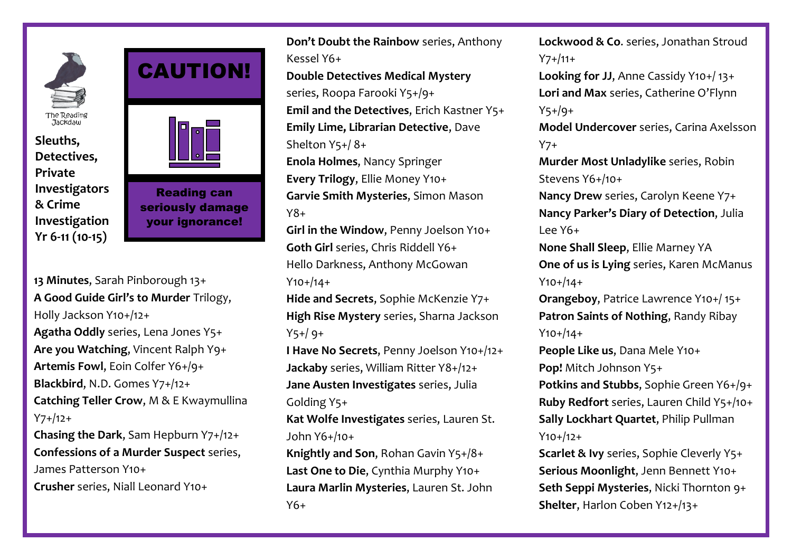

**Sleuths, Detectives, Private Investigators & Crime Investigation Yr 6-11 (10-15)**



CAUTION!

**13 Minutes**, Sarah Pinborough 13+ **A Good Guide Girl's to Murder** Trilogy, Holly Jackson Y10+/12+ **Agatha Oddly** series, Lena Jones Y5+ **Are you Watching**, Vincent Ralph Y9+ **Artemis Fowl**, Eoin Colfer Y6+/9+ **Blackbird**, N.D. Gomes Y7+/12+ **Catching Teller Crow**, M & E Kwaymullina Y7+/12+

**Chasing the Dark**, Sam Hepburn Y7+/12+ **Confessions of a Murder Suspect** series, James Patterson Y10+ **Crusher** series, Niall Leonard Y10+

**Don't Doubt the Rainbow** series, Anthony Kessel Y6+ **Double Detectives Medical Mystery** series, Roopa Farooki Y5+/9+ **Emil and the Detectives**, Erich Kastner Y5+ **Emily Lime, Librarian Detective**, Dave Shelton Y5+/ 8+ **Enola Holmes**, Nancy Springer **Every Trilogy**, Ellie Money Y10+ **Garvie Smith Mysteries**, Simon Mason Y8+ **Girl in the Window**, Penny Joelson Y10+

**Goth Girl** series, Chris Riddell Y6+ Hello Darkness, Anthony McGowan Y10+/14+

**Hide and Secrets**, Sophie McKenzie Y7+ **High Rise Mystery** series, Sharna Jackson Y5+/ 9+

**I Have No Secrets**, Penny Joelson Y10+/12+ **Jackaby** series, William Ritter Y8+/12+ **Jane Austen Investigates** series, Julia Golding Y5+

**Kat Wolfe Investigates** series, Lauren St. John Y6+/10+

**Knightly and Son**, Rohan Gavin Y5+/8+ **Last One to Die**, Cynthia Murphy Y10+ **Laura Marlin Mysteries**, Lauren St. John  $Y6+$ 

**Lockwood & Co**. series, Jonathan Stroud Y7+/11+ **Looking for JJ**, Anne Cassidy Y10+/ 13+ **Lori and Max** series, Catherine O'Flynn Y5+/9+ **Model Undercover** series, Carina Axelsson Y7+ **Murder Most Unladylike** series, Robin Stevens Y6+/10+ **Nancy Drew** series, Carolyn Keene Y7+ **Nancy Parker's Diary of Detection**, Julia Lee Y6+ **None Shall Sleep**, Ellie Marney YA **One of us is Lying** series, Karen McManus Y10+/14+ **Orangeboy**, Patrice Lawrence Y10+/ 15+ **Patron Saints of Nothing**, Randy Ribay

Y10+/14+

**People Like us**, Dana Mele Y10+ **Pop!** Mitch Johnson Y5+

**Potkins and Stubbs**, Sophie Green Y6+/9+ **Ruby Redfort** series, Lauren Child Y5+/10+ **Sally Lockhart Quartet**, Philip Pullman Y10+/12+

**Scarlet & Ivy** series, Sophie Cleverly Y5+ **Serious Moonlight**, Jenn Bennett Y10+ **Seth Seppi Mysteries**, Nicki Thornton 9+ **Shelter**, Harlon Coben Y12+/13+